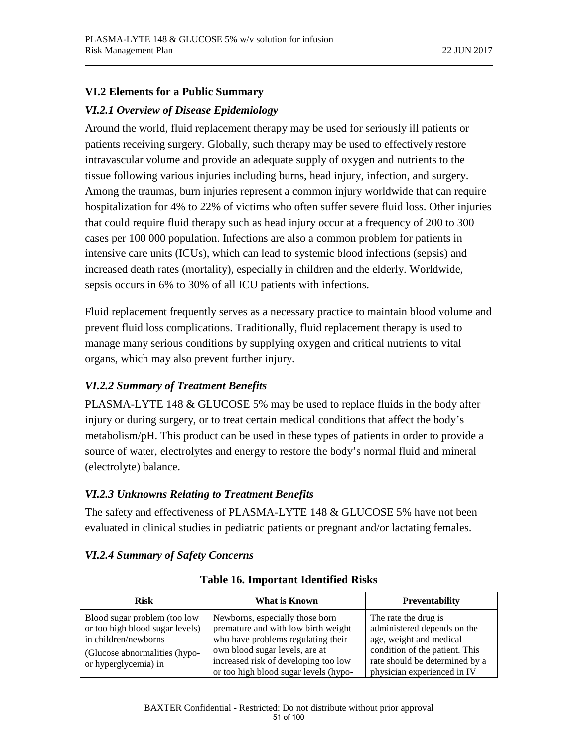## **VI.2 Elements for a Public Summary**

## *VI.2.1 Overview of Disease Epidemiology*

Around the world, fluid replacement therapy may be used for seriously ill patients or patients receiving surgery. Globally, such therapy may be used to effectively restore intravascular volume and provide an adequate supply of oxygen and nutrients to the tissue following various injuries including burns, head injury, infection, and surgery. Among the traumas, burn injuries represent a common injury worldwide that can require hospitalization for 4% to 22% of victims who often suffer severe fluid loss. Other injuries that could require fluid therapy such as head injury occur at a frequency of 200 to 300 cases per 100 000 population. Infections are also a common problem for patients in intensive care units (ICUs), which can lead to systemic blood infections (sepsis) and increased death rates (mortality), especially in children and the elderly. Worldwide, sepsis occurs in 6% to 30% of all ICU patients with infections.

Fluid replacement frequently serves as a necessary practice to maintain blood volume and prevent fluid loss complications. Traditionally, fluid replacement therapy is used to manage many serious conditions by supplying oxygen and critical nutrients to vital organs, which may also prevent further injury.

# *VI.2.2 Summary of Treatment Benefits*

PLASMA-LYTE 148 & GLUCOSE 5% may be used to replace fluids in the body after injury or during surgery, or to treat certain medical conditions that affect the body's metabolism/pH. This product can be used in these types of patients in order to provide a source of water, electrolytes and energy to restore the body's normal fluid and mineral (electrolyte) balance.

# *VI.2.3 Unknowns Relating to Treatment Benefits*

The safety and effectiveness of PLASMA-LYTE 148 & GLUCOSE 5% have not been evaluated in clinical studies in pediatric patients or pregnant and/or lactating females.

# *VI.2.4 Summary of Safety Concerns*

| <b>Risk</b><br>What is Known                                                                                                                     |                                                                                                                                                                                                                                 | <b>Preventability</b>                                                                                                                                                             |  |
|--------------------------------------------------------------------------------------------------------------------------------------------------|---------------------------------------------------------------------------------------------------------------------------------------------------------------------------------------------------------------------------------|-----------------------------------------------------------------------------------------------------------------------------------------------------------------------------------|--|
| Blood sugar problem (too low<br>or too high blood sugar levels)<br>in children/newborns<br>(Glucose abnormalities (hypo-<br>or hyperglycemia) in | Newborns, especially those born<br>premature and with low birth weight<br>who have problems regulating their<br>own blood sugar levels, are at<br>increased risk of developing too low<br>or too high blood sugar levels (hypo- | The rate the drug is<br>administered depends on the<br>age, weight and medical<br>condition of the patient. This<br>rate should be determined by a<br>physician experienced in IV |  |

## **Table 16. Important Identified Risks**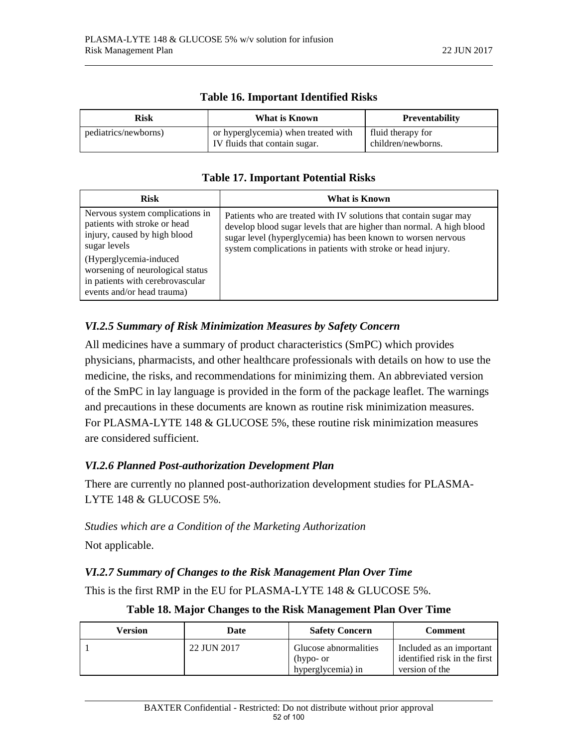| <b>Risk</b>          | What is Known                                                        | <b>Preventability</b>                   |  |
|----------------------|----------------------------------------------------------------------|-----------------------------------------|--|
| pediatrics/newborns) | or hyperglycemia) when treated with<br>IV fluids that contain sugar. | fluid therapy for<br>children/newborns. |  |

#### **Table 16. Important Identified Risks**

## **Table 17. Important Potential Risks**

| <b>Risk</b>                                                                                                                  | What is Known                                                                                                                                                                                                                                                             |
|------------------------------------------------------------------------------------------------------------------------------|---------------------------------------------------------------------------------------------------------------------------------------------------------------------------------------------------------------------------------------------------------------------------|
| Nervous system complications in<br>patients with stroke or head<br>injury, caused by high blood<br>sugar levels              | Patients who are treated with IV solutions that contain sugar may<br>develop blood sugar levels that are higher than normal. A high blood<br>sugar level (hyperglycemia) has been known to worsen nervous<br>system complications in patients with stroke or head injury. |
| (Hyperglycemia-induced<br>worsening of neurological status<br>in patients with cerebrovascular<br>events and/or head trauma) |                                                                                                                                                                                                                                                                           |

## *VI.2.5 Summary of Risk Minimization Measures by Safety Concern*

All medicines have a summary of product characteristics (SmPC) which provides physicians, pharmacists, and other healthcare professionals with details on how to use the medicine, the risks, and recommendations for minimizing them. An abbreviated version of the SmPC in lay language is provided in the form of the package leaflet. The warnings and precautions in these documents are known as routine risk minimization measures. For PLASMA-LYTE 148 & GLUCOSE 5%, these routine risk minimization measures are considered sufficient.

# *VI.2.6 Planned Post-authorization Development Plan*

There are currently no planned post-authorization development studies for PLASMA-LYTE 148 & GLUCOSE 5%.

*Studies which are a Condition of the Marketing Authorization* 

Not applicable.

## *VI.2.7 Summary of Changes to the Risk Management Plan Over Time*

This is the first RMP in the EU for PLASMA-LYTE 148 & GLUCOSE 5%.

| Version | Date        | <b>Safety Concern</b>                                   | <b>Comment</b>                                                             |
|---------|-------------|---------------------------------------------------------|----------------------------------------------------------------------------|
|         | 22 JUN 2017 | Glucose abnormalities<br>(hypo- or<br>hyperglycemia) in | Included as an important<br>identified risk in the first<br>version of the |

## **Table 18. Major Changes to the Risk Management Plan Over Time**